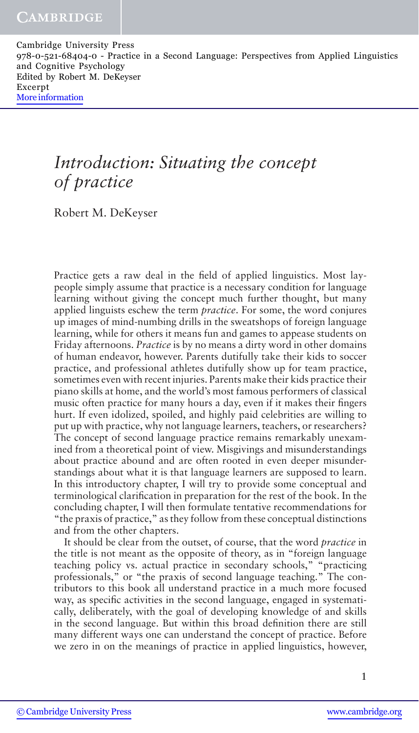# *Introduction: Situating the concept of practice*

Robert M. DeKeyser

Practice gets a raw deal in the field of applied linguistics. Most laypeople simply assume that practice is a necessary condition for language learning without giving the concept much further thought, but many applied linguists eschew the term *practice*. For some, the word conjures up images of mind-numbing drills in the sweatshops of foreign language learning, while for others it means fun and games to appease students on Friday afternoons. *Practice* is by no means a dirty word in other domains of human endeavor, however. Parents dutifully take their kids to soccer practice, and professional athletes dutifully show up for team practice, sometimes even with recent injuries. Parents make their kids practice their piano skills at home, and the world's most famous performers of classical music often practice for many hours a day, even if it makes their fingers hurt. If even idolized, spoiled, and highly paid celebrities are willing to put up with practice, why not language learners, teachers, or researchers? The concept of second language practice remains remarkably unexamined from a theoretical point of view. Misgivings and misunderstandings about practice abound and are often rooted in even deeper misunderstandings about what it is that language learners are supposed to learn. In this introductory chapter, I will try to provide some conceptual and terminological clarification in preparation for the rest of the book. In the concluding chapter, I will then formulate tentative recommendations for "the praxis of practice," as they follow from these conceptual distinctions and from the other chapters.

It should be clear from the outset, of course, that the word *practice* in the title is not meant as the opposite of theory, as in "foreign language teaching policy vs. actual practice in secondary schools," "practicing professionals," or "the praxis of second language teaching." The contributors to this book all understand practice in a much more focused way, as specific activities in the second language, engaged in systematically, deliberately, with the goal of developing knowledge of and skills in the second language. But within this broad definition there are still many different ways one can understand the concept of practice. Before we zero in on the meanings of practice in applied linguistics, however,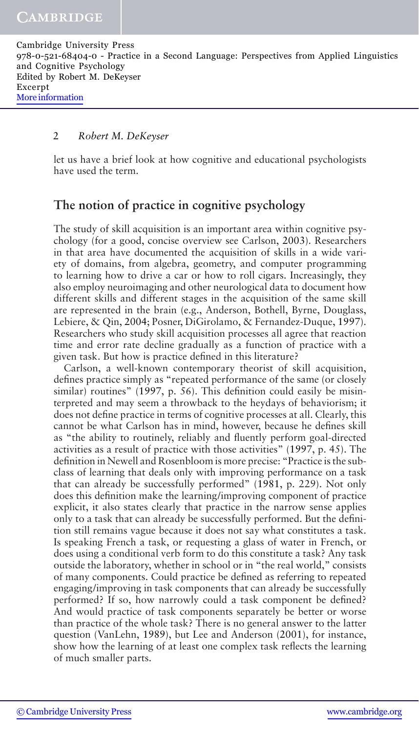| Cambridge University Press                                                               |  |
|------------------------------------------------------------------------------------------|--|
| 978-0-521-68404-0 - Practice in a Second Language: Perspectives from Applied Linguistics |  |
| and Cognitive Psychology                                                                 |  |
| Edited by Robert M. DeKeyser                                                             |  |
| Excerpt                                                                                  |  |
| More information                                                                         |  |
|                                                                                          |  |

## 2 *Robert M. DeKeyser*

let us have a brief look at how cognitive and educational psychologists have used the term.

# **The notion of practice in cognitive psychology**

The study of skill acquisition is an important area within cognitive psychology (for a good, concise overview see Carlson, 2003). Researchers in that area have documented the acquisition of skills in a wide variety of domains, from algebra, geometry, and computer programming to learning how to drive a car or how to roll cigars. Increasingly, they also employ neuroimaging and other neurological data to document how different skills and different stages in the acquisition of the same skill are represented in the brain (e.g., Anderson, Bothell, Byrne, Douglass, Lebiere, & Qin, 2004; Posner, DiGirolamo, & Fernandez-Duque, 1997). Researchers who study skill acquisition processes all agree that reaction time and error rate decline gradually as a function of practice with a given task. But how is practice defined in this literature?

Carlson, a well-known contemporary theorist of skill acquisition, defines practice simply as "repeated performance of the same (or closely similar) routines" (1997, p. 56). This definition could easily be misinterpreted and may seem a throwback to the heydays of behaviorism; it does not define practice in terms of cognitive processes at all. Clearly, this cannot be what Carlson has in mind, however, because he defines skill as "the ability to routinely, reliably and fluently perform goal-directed activities as a result of practice with those activities" (1997, p. 45). The definition in Newell and Rosenbloom is more precise: "Practice is the subclass of learning that deals only with improving performance on a task that can already be successfully performed" (1981, p. 229). Not only does this definition make the learning/improving component of practice explicit, it also states clearly that practice in the narrow sense applies only to a task that can already be successfully performed. But the definition still remains vague because it does not say what constitutes a task. Is speaking French a task, or requesting a glass of water in French, or does using a conditional verb form to do this constitute a task? Any task outside the laboratory, whether in school or in "the real world," consists of many components. Could practice be defined as referring to repeated engaging/improving in task components that can already be successfully performed? If so, how narrowly could a task component be defined? And would practice of task components separately be better or worse than practice of the whole task? There is no general answer to the latter question (VanLehn, 1989), but Lee and Anderson (2001), for instance, show how the learning of at least one complex task reflects the learning of much smaller parts.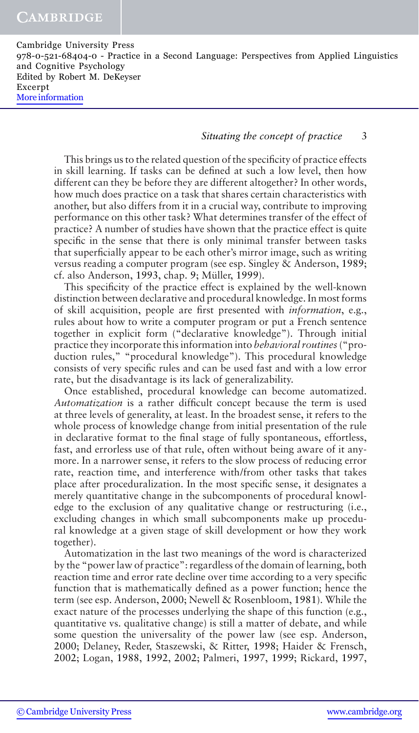## *Situating the concept of practice* 3

This brings us to the related question of the specificity of practice effects in skill learning. If tasks can be defined at such a low level, then how different can they be before they are different altogether? In other words, how much does practice on a task that shares certain characteristics with another, but also differs from it in a crucial way, contribute to improving performance on this other task? What determines transfer of the effect of practice? A number of studies have shown that the practice effect is quite specific in the sense that there is only minimal transfer between tasks that superficially appear to be each other's mirror image, such as writing versus reading a computer program (see esp. Singley & Anderson, 1989; cf. also Anderson, 1993, chap. 9; Müller, 1999).

This specificity of the practice effect is explained by the well-known distinction between declarative and procedural knowledge. In most forms of skill acquisition, people are first presented with *information*, e.g., rules about how to write a computer program or put a French sentence together in explicit form ("declarative knowledge"). Through initial practice they incorporate this information into *behavioral routines*("production rules," "procedural knowledge"). This procedural knowledge consists of very specific rules and can be used fast and with a low error rate, but the disadvantage is its lack of generalizability.

Once established, procedural knowledge can become automatized. *Automatization* is a rather difficult concept because the term is used at three levels of generality, at least. In the broadest sense, it refers to the whole process of knowledge change from initial presentation of the rule in declarative format to the final stage of fully spontaneous, effortless, fast, and errorless use of that rule, often without being aware of it anymore. In a narrower sense, it refers to the slow process of reducing error rate, reaction time, and interference with/from other tasks that takes place after proceduralization. In the most specific sense, it designates a merely quantitative change in the subcomponents of procedural knowledge to the exclusion of any qualitative change or restructuring (i.e., excluding changes in which small subcomponents make up procedural knowledge at a given stage of skill development or how they work together).

Automatization in the last two meanings of the word is characterized by the "power law of practice": regardless of the domain of learning, both reaction time and error rate decline over time according to a very specific function that is mathematically defined as a power function; hence the term (see esp. Anderson, 2000; Newell & Rosenbloom, 1981). While the exact nature of the processes underlying the shape of this function (e.g., quantitative vs. qualitative change) is still a matter of debate, and while some question the universality of the power law (see esp. Anderson, 2000; Delaney, Reder, Staszewski, & Ritter, 1998; Haider & Frensch, 2002; Logan, 1988, 1992, 2002; Palmeri, 1997, 1999; Rickard, 1997,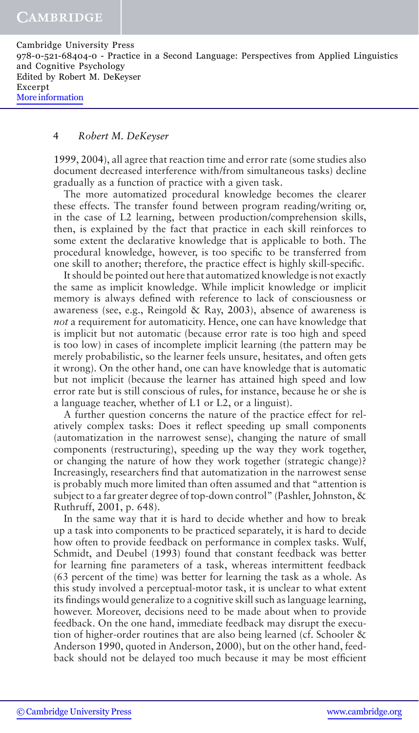#### 4 *Robert M. DeKeyser*

1999, 2004), all agree that reaction time and error rate (some studies also document decreased interference with/from simultaneous tasks) decline gradually as a function of practice with a given task.

The more automatized procedural knowledge becomes the clearer these effects. The transfer found between program reading/writing or, in the case of L2 learning, between production/comprehension skills, then, is explained by the fact that practice in each skill reinforces to some extent the declarative knowledge that is applicable to both. The procedural knowledge, however, is too specific to be transferred from one skill to another; therefore, the practice effect is highly skill-specific.

It should be pointed out here that automatized knowledge is not exactly the same as implicit knowledge. While implicit knowledge or implicit memory is always defined with reference to lack of consciousness or awareness (see, e.g., Reingold & Ray, 2003), absence of awareness is *not* a requirement for automaticity. Hence, one can have knowledge that is implicit but not automatic (because error rate is too high and speed is too low) in cases of incomplete implicit learning (the pattern may be merely probabilistic, so the learner feels unsure, hesitates, and often gets it wrong). On the other hand, one can have knowledge that is automatic but not implicit (because the learner has attained high speed and low error rate but is still conscious of rules, for instance, because he or she is a language teacher, whether of L1 or L2, or a linguist).

A further question concerns the nature of the practice effect for relatively complex tasks: Does it reflect speeding up small components (automatization in the narrowest sense), changing the nature of small components (restructuring), speeding up the way they work together, or changing the nature of how they work together (strategic change)? Increasingly, researchers find that automatization in the narrowest sense is probably much more limited than often assumed and that "attention is subject to a far greater degree of top-down control" (Pashler, Johnston, & Ruthruff, 2001, p. 648).

In the same way that it is hard to decide whether and how to break up a task into components to be practiced separately, it is hard to decide how often to provide feedback on performance in complex tasks. Wulf, Schmidt, and Deubel (1993) found that constant feedback was better for learning fine parameters of a task, whereas intermittent feedback (63 percent of the time) was better for learning the task as a whole. As this study involved a perceptual-motor task, it is unclear to what extent its findings would generalize to a cognitive skill such as language learning, however. Moreover, decisions need to be made about when to provide feedback. On the one hand, immediate feedback may disrupt the execution of higher-order routines that are also being learned (cf. Schooler & Anderson 1990, quoted in Anderson, 2000), but on the other hand, feedback should not be delayed too much because it may be most efficient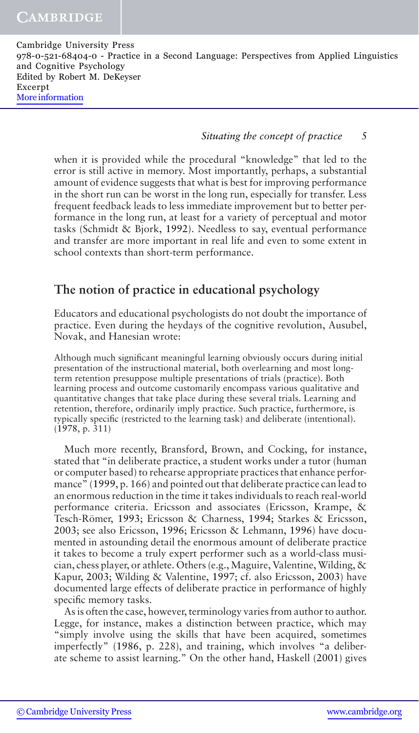*Situating the concept of practice* 5

when it is provided while the procedural "knowledge" that led to the error is still active in memory. Most importantly, perhaps, a substantial amount of evidence suggests that what is best for improving performance in the short run can be worst in the long run, especially for transfer. Less frequent feedback leads to less immediate improvement but to better performance in the long run, at least for a variety of perceptual and motor tasks (Schmidt & Bjork, 1992). Needless to say, eventual performance and transfer are more important in real life and even to some extent in school contexts than short-term performance.

# **The notion of practice in educational psychology**

Educators and educational psychologists do not doubt the importance of practice. Even during the heydays of the cognitive revolution, Ausubel, Novak, and Hanesian wrote:

Although much significant meaningful learning obviously occurs during initial presentation of the instructional material, both overlearning and most longterm retention presuppose multiple presentations of trials (practice). Both learning process and outcome customarily encompass various qualitative and quantitative changes that take place during these several trials. Learning and retention, therefore, ordinarily imply practice. Such practice, furthermore, is typically specific (restricted to the learning task) and deliberate (intentional). (1978, p. 311)

Much more recently, Bransford, Brown, and Cocking, for instance, stated that "in deliberate practice, a student works under a tutor (human or computer based) to rehearse appropriate practices that enhance performance" (1999, p. 166) and pointed out that deliberate practice can lead to an enormous reduction in the time it takes individuals to reach real-world performance criteria. Ericsson and associates (Ericsson, Krampe, & Tesch-Römer, 1993; Ericsson & Charness, 1994; Starkes & Ericsson, 2003; see also Ericsson, 1996; Ericsson & Lehmann, 1996) have documented in astounding detail the enormous amount of deliberate practice it takes to become a truly expert performer such as a world-class musician, chess player, or athlete. Others (e.g., Maguire, Valentine, Wilding, & Kapur, 2003; Wilding & Valentine, 1997; cf. also Ericsson, 2003) have documented large effects of deliberate practice in performance of highly specific memory tasks.

As is often the case, however, terminology varies from author to author. Legge, for instance, makes a distinction between practice, which may "simply involve using the skills that have been acquired, sometimes imperfectly" (1986, p. 228), and training, which involves "a deliberate scheme to assist learning." On the other hand, Haskell (2001) gives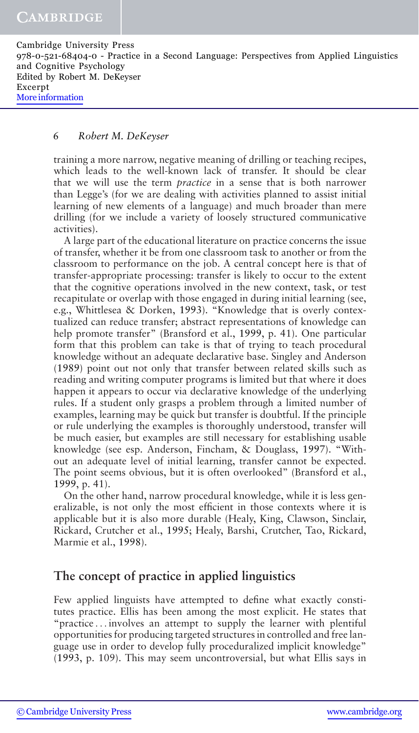## 6 *Robert M. DeKeyser*

training a more narrow, negative meaning of drilling or teaching recipes, which leads to the well-known lack of transfer. It should be clear that we will use the term *practice* in a sense that is both narrower than Legge's (for we are dealing with activities planned to assist initial learning of new elements of a language) and much broader than mere drilling (for we include a variety of loosely structured communicative activities).

A large part of the educational literature on practice concerns the issue of transfer, whether it be from one classroom task to another or from the classroom to performance on the job. A central concept here is that of transfer-appropriate processing: transfer is likely to occur to the extent that the cognitive operations involved in the new context, task, or test recapitulate or overlap with those engaged in during initial learning (see, e.g., Whittlesea & Dorken, 1993). "Knowledge that is overly contextualized can reduce transfer; abstract representations of knowledge can help promote transfer" (Bransford et al., 1999, p. 41). One particular form that this problem can take is that of trying to teach procedural knowledge without an adequate declarative base. Singley and Anderson (1989) point out not only that transfer between related skills such as reading and writing computer programs is limited but that where it does happen it appears to occur via declarative knowledge of the underlying rules. If a student only grasps a problem through a limited number of examples, learning may be quick but transfer is doubtful. If the principle or rule underlying the examples is thoroughly understood, transfer will be much easier, but examples are still necessary for establishing usable knowledge (see esp. Anderson, Fincham, & Douglass, 1997). "Without an adequate level of initial learning, transfer cannot be expected. The point seems obvious, but it is often overlooked" (Bransford et al., 1999, p. 41).

On the other hand, narrow procedural knowledge, while it is less generalizable, is not only the most efficient in those contexts where it is applicable but it is also more durable (Healy, King, Clawson, Sinclair, Rickard, Crutcher et al., 1995; Healy, Barshi, Crutcher, Tao, Rickard, Marmie et al., 1998).

## **The concept of practice in applied linguistics**

Few applied linguists have attempted to define what exactly constitutes practice. Ellis has been among the most explicit. He states that "practice ... involves an attempt to supply the learner with plentiful opportunities for producing targeted structures in controlled and free language use in order to develop fully proceduralized implicit knowledge" (1993, p. 109). This may seem uncontroversial, but what Ellis says in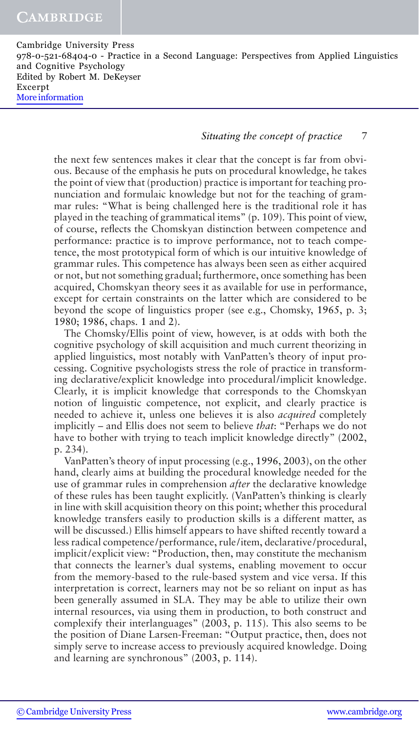## *Situating the concept of practice* 7

the next few sentences makes it clear that the concept is far from obvious. Because of the emphasis he puts on procedural knowledge, he takes the point of view that (production) practice is important for teaching pronunciation and formulaic knowledge but not for the teaching of grammar rules: "What is being challenged here is the traditional role it has played in the teaching of grammatical items" (p. 109). This point of view, of course, reflects the Chomskyan distinction between competence and performance: practice is to improve performance, not to teach competence, the most prototypical form of which is our intuitive knowledge of grammar rules. This competence has always been seen as either acquired or not, but not something gradual; furthermore, once something has been acquired, Chomskyan theory sees it as available for use in performance, except for certain constraints on the latter which are considered to be beyond the scope of linguistics proper (see e.g., Chomsky, 1965, p. 3; 1980; 1986, chaps. 1 and 2).

The Chomsky/Ellis point of view, however, is at odds with both the cognitive psychology of skill acquisition and much current theorizing in applied linguistics, most notably with VanPatten's theory of input processing. Cognitive psychologists stress the role of practice in transforming declarative/explicit knowledge into procedural/implicit knowledge. Clearly, it is implicit knowledge that corresponds to the Chomskyan notion of linguistic competence, not explicit, and clearly practice is needed to achieve it, unless one believes it is also *acquired* completely implicitly – and Ellis does not seem to believe *that*: "Perhaps we do not have to bother with trying to teach implicit knowledge directly" (2002, p. 234).

VanPatten's theory of input processing (e.g., 1996, 2003), on the other hand, clearly aims at building the procedural knowledge needed for the use of grammar rules in comprehension *after* the declarative knowledge of these rules has been taught explicitly. (VanPatten's thinking is clearly in line with skill acquisition theory on this point; whether this procedural knowledge transfers easily to production skills is a different matter, as will be discussed.) Ellis himself appears to have shifted recently toward a less radical competence/performance, rule/item, declarative/procedural, implicit/explicit view: "Production, then, may constitute the mechanism that connects the learner's dual systems, enabling movement to occur from the memory-based to the rule-based system and vice versa. If this interpretation is correct, learners may not be so reliant on input as has been generally assumed in SLA. They may be able to utilize their own internal resources, via using them in production, to both construct and complexify their interlanguages" (2003, p. 115). This also seems to be the position of Diane Larsen-Freeman: "Output practice, then, does not simply serve to increase access to previously acquired knowledge. Doing and learning are synchronous" (2003, p. 114).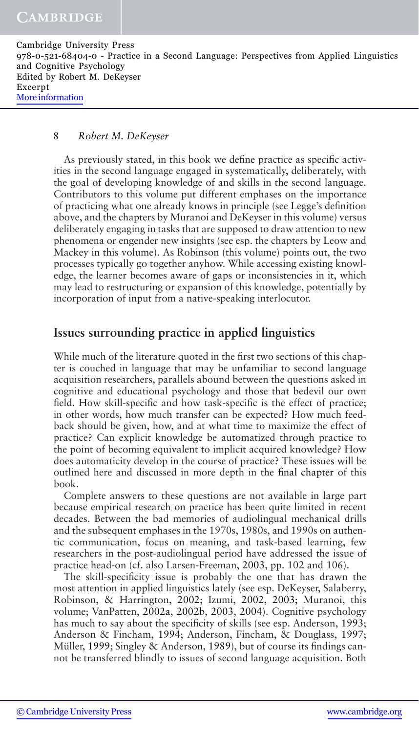## 8 *Robert M. DeKeyser*

As previously stated, in this book we define practice as specific activities in the second language engaged in systematically, deliberately, with the goal of developing knowledge of and skills in the second language. Contributors to this volume put different emphases on the importance of practicing what one already knows in principle (see Legge's definition above, and the chapters by Muranoi and DeKeyser in this volume) versus deliberately engaging in tasks that are supposed to draw attention to new phenomena or engender new insights (see esp. the chapters by Leow and Mackey in this volume). As Robinson (this volume) points out, the two processes typically go together anyhow. While accessing existing knowledge, the learner becomes aware of gaps or inconsistencies in it, which may lead to restructuring or expansion of this knowledge, potentially by incorporation of input from a native-speaking interlocutor.

# **Issues surrounding practice in applied linguistics**

While much of the literature quoted in the first two sections of this chapter is couched in language that may be unfamiliar to second language acquisition researchers, parallels abound between the questions asked in cognitive and educational psychology and those that bedevil our own field. How skill-specific and how task-specific is the effect of practice; in other words, how much transfer can be expected? How much feedback should be given, how, and at what time to maximize the effect of practice? Can explicit knowledge be automatized through practice to the point of becoming equivalent to implicit acquired knowledge? How does automaticity develop in the course of practice? These issues will be outlined here and discussed in more depth in the final chapter of this book.

Complete answers to these questions are not available in large part because empirical research on practice has been quite limited in recent decades. Between the bad memories of audiolingual mechanical drills and the subsequent emphases in the 1970s, 1980s, and 1990s on authentic communication, focus on meaning, and task-based learning, few researchers in the post-audiolingual period have addressed the issue of practice head-on (cf. also Larsen-Freeman, 2003, pp. 102 and 106).

The skill-specificity issue is probably the one that has drawn the most attention in applied linguistics lately (see esp. DeKeyser, Salaberry, Robinson, & Harrington, 2002; Izumi, 2002, 2003; Muranoi, this volume; VanPatten, 2002a, 2002b, 2003, 2004). Cognitive psychology has much to say about the specificity of skills (see esp. Anderson, 1993; Anderson & Fincham, 1994; Anderson, Fincham, & Douglass, 1997; Müller, 1999; Singley & Anderson, 1989), but of course its findings cannot be transferred blindly to issues of second language acquisition. Both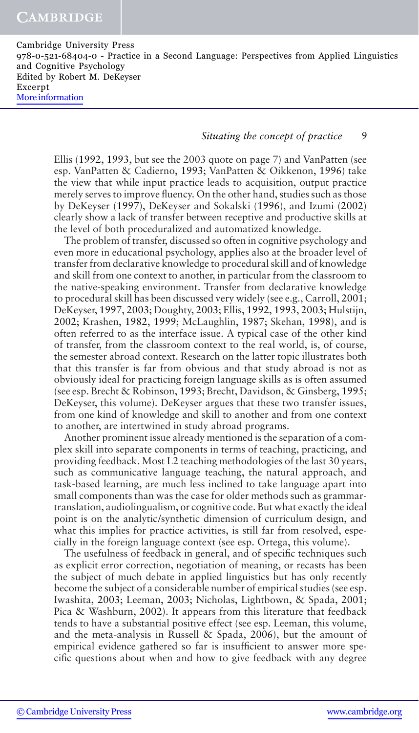#### *Situating the concept of practice* 9

Ellis (1992, 1993, but see the 2003 quote on page 7) and VanPatten (see esp. VanPatten & Cadierno, 1993; VanPatten & Oikkenon, 1996) take the view that while input practice leads to acquisition, output practice merely serves to improve fluency. On the other hand, studies such as those by DeKeyser (1997), DeKeyser and Sokalski (1996), and Izumi (2002) clearly show a lack of transfer between receptive and productive skills at the level of both proceduralized and automatized knowledge.

The problem of transfer, discussed so often in cognitive psychology and even more in educational psychology, applies also at the broader level of transfer from declarative knowledge to procedural skill and of knowledge and skill from one context to another, in particular from the classroom to the native-speaking environment. Transfer from declarative knowledge to procedural skill has been discussed very widely (see e.g., Carroll, 2001; DeKeyser, 1997, 2003; Doughty, 2003; Ellis, 1992, 1993, 2003; Hulstijn, 2002; Krashen, 1982, 1999; McLaughlin, 1987; Skehan, 1998), and is often referred to as the interface issue. A typical case of the other kind of transfer, from the classroom context to the real world, is, of course, the semester abroad context. Research on the latter topic illustrates both that this transfer is far from obvious and that study abroad is not as obviously ideal for practicing foreign language skills as is often assumed (see esp. Brecht & Robinson, 1993; Brecht, Davidson, & Ginsberg, 1995; DeKeyser, this volume). DeKeyser argues that these two transfer issues, from one kind of knowledge and skill to another and from one context to another, are intertwined in study abroad programs.

Another prominent issue already mentioned is the separation of a complex skill into separate components in terms of teaching, practicing, and providing feedback. Most L2 teaching methodologies of the last 30 years, such as communicative language teaching, the natural approach, and task-based learning, are much less inclined to take language apart into small components than was the case for older methods such as grammartranslation, audiolingualism, or cognitive code. But what exactly the ideal point is on the analytic/synthetic dimension of curriculum design, and what this implies for practice activities, is still far from resolved, especially in the foreign language context (see esp. Ortega, this volume).

The usefulness of feedback in general, and of specific techniques such as explicit error correction, negotiation of meaning, or recasts has been the subject of much debate in applied linguistics but has only recently become the subject of a considerable number of empirical studies (see esp. Iwashita, 2003; Leeman, 2003; Nicholas, Lightbown, & Spada, 2001; Pica & Washburn, 2002). It appears from this literature that feedback tends to have a substantial positive effect (see esp. Leeman, this volume, and the meta-analysis in Russell & Spada, 2006), but the amount of empirical evidence gathered so far is insufficient to answer more specific questions about when and how to give feedback with any degree